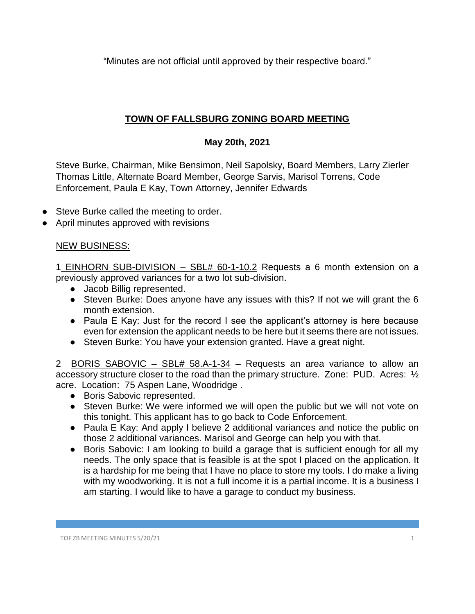"Minutes are not official until approved by their respective board."

## **TOWN OF FALLSBURG ZONING BOARD MEETING**

## **May 20th, 2021**

Steve Burke, Chairman, Mike Bensimon, Neil Sapolsky, Board Members, Larry Zierler Thomas Little, Alternate Board Member, George Sarvis, Marisol Torrens, Code Enforcement, Paula E Kay, Town Attorney, Jennifer Edwards

- Steve Burke called the meeting to order.
- April minutes approved with revisions

## NEW BUSINESS:

1 EINHORN SUB-DIVISION – SBL# 60-1-10.2 Requests a 6 month extension on a previously approved variances for a two lot sub-division.

- Jacob Billig represented.
- Steven Burke: Does anyone have any issues with this? If not we will grant the 6 month extension.
- Paula E Kay: Just for the record I see the applicant's attorney is here because even for extension the applicant needs to be here but it seems there are not issues.
- Steven Burke: You have your extension granted. Have a great night.

2 BORIS SABOVIC – SBL# 58.A-1-34 – Requests an area variance to allow an accessory structure closer to the road than the primary structure. Zone: PUD. Acres: 1/2 acre. Location: 75 Aspen Lane, Woodridge .

- Boris Sabovic represented.
- Steven Burke: We were informed we will open the public but we will not vote on this tonight. This applicant has to go back to Code Enforcement.
- Paula E Kay: And apply I believe 2 additional variances and notice the public on those 2 additional variances. Marisol and George can help you with that.
- Boris Sabovic: I am looking to build a garage that is sufficient enough for all my needs. The only space that is feasible is at the spot I placed on the application. It is a hardship for me being that I have no place to store my tools. I do make a living with my woodworking. It is not a full income it is a partial income. It is a business I am starting. I would like to have a garage to conduct my business.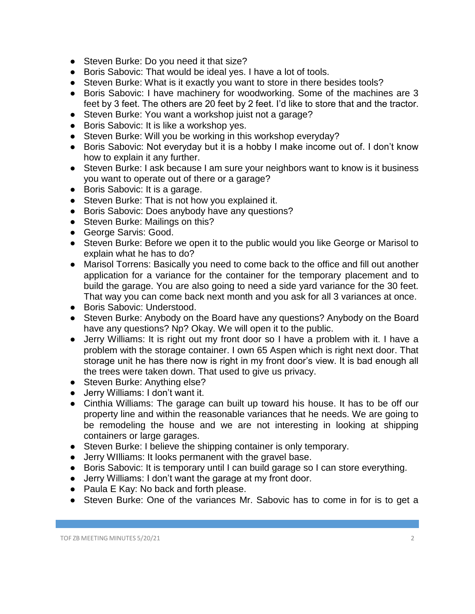- Steven Burke: Do you need it that size?
- Boris Sabovic: That would be ideal yes. I have a lot of tools.
- Steven Burke: What is it exactly you want to store in there besides tools?
- Boris Sabovic: I have machinery for woodworking. Some of the machines are 3 feet by 3 feet. The others are 20 feet by 2 feet. I'd like to store that and the tractor.
- Steven Burke: You want a workshop juist not a garage?
- Boris Sabovic: It is like a workshop yes.
- Steven Burke: Will you be working in this workshop everyday?
- Boris Sabovic: Not everyday but it is a hobby I make income out of. I don't know how to explain it any further.
- Steven Burke: I ask because I am sure your neighbors want to know is it business you want to operate out of there or a garage?
- Boris Sabovic: It is a garage.
- Steven Burke: That is not how you explained it.
- Boris Sabovic: Does anybody have any questions?
- Steven Burke: Mailings on this?
- George Sarvis: Good.
- Steven Burke: Before we open it to the public would you like George or Marisol to explain what he has to do?
- Marisol Torrens: Basically you need to come back to the office and fill out another application for a variance for the container for the temporary placement and to build the garage. You are also going to need a side yard variance for the 30 feet. That way you can come back next month and you ask for all 3 variances at once.
- Boris Sabovic: Understood.
- Steven Burke: Anybody on the Board have any questions? Anybody on the Board have any questions? Np? Okay. We will open it to the public.
- Jerry Williams: It is right out my front door so I have a problem with it. I have a problem with the storage container. I own 65 Aspen which is right next door. That storage unit he has there now is right in my front door's view. It is bad enough all the trees were taken down. That used to give us privacy.
- Steven Burke: Anything else?
- Jerry Williams: I don't want it.
- Cinthia Williams: The garage can built up toward his house. It has to be off our property line and within the reasonable variances that he needs. We are going to be remodeling the house and we are not interesting in looking at shipping containers or large garages.
- Steven Burke: I believe the shipping container is only temporary.
- Jerry WIlliams: It looks permanent with the gravel base.
- Boris Sabovic: It is temporary until I can build garage so I can store everything.
- Jerry Williams: I don't want the garage at my front door.
- Paula E Kay: No back and forth please.
- Steven Burke: One of the variances Mr. Sabovic has to come in for is to get a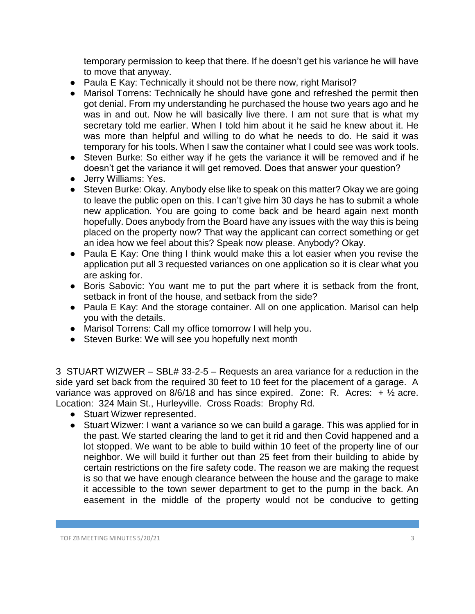temporary permission to keep that there. If he doesn't get his variance he will have to move that anyway.

- Paula E Kay: Technically it should not be there now, right Marisol?
- Marisol Torrens: Technically he should have gone and refreshed the permit then got denial. From my understanding he purchased the house two years ago and he was in and out. Now he will basically live there. I am not sure that is what my secretary told me earlier. When I told him about it he said he knew about it. He was more than helpful and willing to do what he needs to do. He said it was temporary for his tools. When I saw the container what I could see was work tools.
- Steven Burke: So either way if he gets the variance it will be removed and if he doesn't get the variance it will get removed. Does that answer your question?
- Jerry Williams: Yes.
- Steven Burke: Okay. Anybody else like to speak on this matter? Okay we are going to leave the public open on this. I can't give him 30 days he has to submit a whole new application. You are going to come back and be heard again next month hopefully. Does anybody from the Board have any issues with the way this is being placed on the property now? That way the applicant can correct something or get an idea how we feel about this? Speak now please. Anybody? Okay.
- Paula E Kay: One thing I think would make this a lot easier when you revise the application put all 3 requested variances on one application so it is clear what you are asking for.
- Boris Sabovic: You want me to put the part where it is setback from the front, setback in front of the house, and setback from the side?
- Paula E Kay: And the storage container. All on one application. Marisol can help you with the details.
- Marisol Torrens: Call my office tomorrow I will help you.
- Steven Burke: We will see you hopefully next month

3 STUART WIZWER – SBL# 33-2-5 – Requests an area variance for a reduction in the side yard set back from the required 30 feet to 10 feet for the placement of a garage. A variance was approved on 8/6/18 and has since expired. Zone: R. Acres:  $+ \frac{1}{2}$  acre. Location: 324 Main St., Hurleyville. Cross Roads: Brophy Rd.

- Stuart Wizwer represented.
- Stuart Wizwer: I want a variance so we can build a garage. This was applied for in the past. We started clearing the land to get it rid and then Covid happened and a lot stopped. We want to be able to build within 10 feet of the property line of our neighbor. We will build it further out than 25 feet from their building to abide by certain restrictions on the fire safety code. The reason we are making the request is so that we have enough clearance between the house and the garage to make it accessible to the town sewer department to get to the pump in the back. An easement in the middle of the property would not be conducive to getting